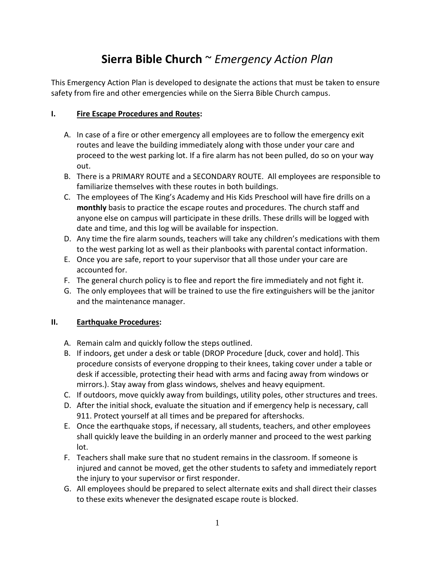# **Sierra Bible Church** ~ *Emergency Action Plan*

This Emergency Action Plan is developed to designate the actions that must be taken to ensure safety from fire and other emergencies while on the Sierra Bible Church campus.

### **I. Fire Escape Procedures and Routes:**

- A. In case of a fire or other emergency all employees are to follow the emergency exit routes and leave the building immediately along with those under your care and proceed to the west parking lot. If a fire alarm has not been pulled, do so on your way out.
- B. There is a PRIMARY ROUTE and a SECONDARY ROUTE. All employees are responsible to familiarize themselves with these routes in both buildings.
- C. The employees of The King's Academy and His Kids Preschool will have fire drills on a **monthly** basis to practice the escape routes and procedures. The church staff and anyone else on campus will participate in these drills. These drills will be logged with date and time, and this log will be available for inspection.
- D. Any time the fire alarm sounds, teachers will take any children's medications with them to the west parking lot as well as their planbooks with parental contact information.
- E. Once you are safe, report to your supervisor that all those under your care are accounted for.
- F. The general church policy is to flee and report the fire immediately and not fight it.
- G. The only employees that will be trained to use the fire extinguishers will be the janitor and the maintenance manager.

## **II. Earthquake Procedures:**

- A. Remain calm and quickly follow the steps outlined.
- B. If indoors, get under a desk or table (DROP Procedure [duck, cover and hold]. This procedure consists of everyone dropping to their knees, taking cover under a table or desk if accessible, protecting their head with arms and facing away from windows or mirrors.). Stay away from glass windows, shelves and heavy equipment.
- C. If outdoors, move quickly away from buildings, utility poles, other structures and trees.
- D. After the initial shock, evaluate the situation and if emergency help is necessary, call 911. Protect yourself at all times and be prepared for aftershocks.
- E. Once the earthquake stops, if necessary, all students, teachers, and other employees shall quickly leave the building in an orderly manner and proceed to the west parking lot.
- F. Teachers shall make sure that no student remains in the classroom. If someone is injured and cannot be moved, get the other students to safety and immediately report the injury to your supervisor or first responder.
- G. All employees should be prepared to select alternate exits and shall direct their classes to these exits whenever the designated escape route is blocked.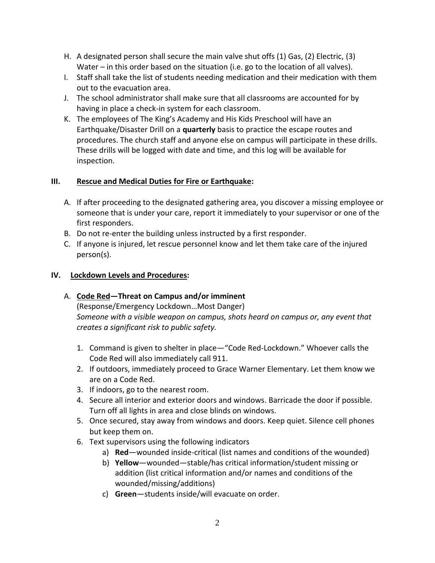- H. A designated person shall secure the main valve shut offs (1) Gas, (2) Electric, (3) Water – in this order based on the situation (i.e. go to the location of all valves).
- I. Staff shall take the list of students needing medication and their medication with them out to the evacuation area.
- J. The school administrator shall make sure that all classrooms are accounted for by having in place a check-in system for each classroom.
- K. The employees of The King's Academy and His Kids Preschool will have an Earthquake/Disaster Drill on a **quarterly** basis to practice the escape routes and procedures. The church staff and anyone else on campus will participate in these drills. These drills will be logged with date and time, and this log will be available for inspection.

### **III. Rescue and Medical Duties for Fire or Earthquake:**

- A. If after proceeding to the designated gathering area, you discover a missing employee or someone that is under your care, report it immediately to your supervisor or one of the first responders.
- B. Do not re-enter the building unless instructed by a first responder.
- C. If anyone is injured, let rescue personnel know and let them take care of the injured person(s).

### **IV. Lockdown Levels and Procedures:**

## A. **Code Red—Threat on Campus and/or imminent**

(Response/Emergency Lockdown…Most Danger) *Someone with a visible weapon on campus, shots heard on campus or, any event that creates a significant risk to public safety.*

- 1. Command is given to shelter in place—"Code Red-Lockdown." Whoever calls the Code Red will also immediately call 911.
- 2. If outdoors, immediately proceed to Grace Warner Elementary. Let them know we are on a Code Red.
- 3. If indoors, go to the nearest room.
- 4. Secure all interior and exterior doors and windows. Barricade the door if possible. Turn off all lights in area and close blinds on windows.
- 5. Once secured, stay away from windows and doors. Keep quiet. Silence cell phones but keep them on.
- 6. Text supervisors using the following indicators
	- a) **Red**—wounded inside-critical (list names and conditions of the wounded)
	- b) **Yellow**—wounded—stable/has critical information/student missing or addition (list critical information and/or names and conditions of the wounded/missing/additions)
	- c) **Green**—students inside/will evacuate on order.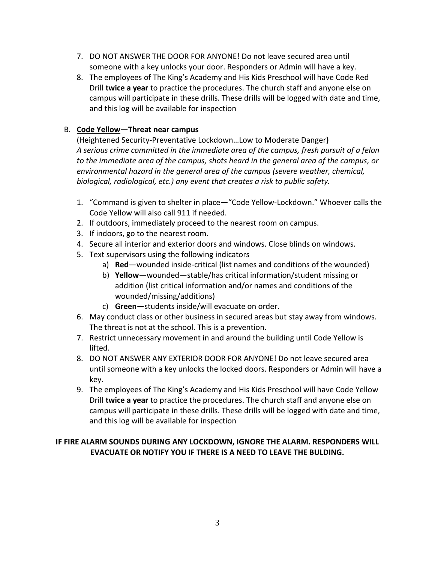- 7. DO NOT ANSWER THE DOOR FOR ANYONE! Do not leave secured area until someone with a key unlocks your door. Responders or Admin will have a key.
- 8. The employees of The King's Academy and His Kids Preschool will have Code Red Drill **twice a year** to practice the procedures. The church staff and anyone else on campus will participate in these drills. These drills will be logged with date and time, and this log will be available for inspection

### B. **Code Yellow—Threat near campus**

(Heightened Security-Preventative Lockdown…Low to Moderate Danger**)** *A serious crime committed in the immediate area of the campus, fresh pursuit of a felon to the immediate area of the campus, shots heard in the general area of the campus, or environmental hazard in the general area of the campus (severe weather, chemical, biological, radiological, etc.) any event that creates a risk to public safety.*

- 1. "Command is given to shelter in place—"Code Yellow-Lockdown." Whoever calls the Code Yellow will also call 911 if needed.
- 2. If outdoors, immediately proceed to the nearest room on campus.
- 3. If indoors, go to the nearest room.
- 4. Secure all interior and exterior doors and windows. Close blinds on windows.
- 5. Text supervisors using the following indicators
	- a) **Red**—wounded inside-critical (list names and conditions of the wounded)
	- b) **Yellow**—wounded—stable/has critical information/student missing or addition (list critical information and/or names and conditions of the wounded/missing/additions)
	- c) **Green**—students inside/will evacuate on order.
- 6. May conduct class or other business in secured areas but stay away from windows. The threat is not at the school. This is a prevention.
- 7. Restrict unnecessary movement in and around the building until Code Yellow is lifted.
- 8. DO NOT ANSWER ANY EXTERIOR DOOR FOR ANYONE! Do not leave secured area until someone with a key unlocks the locked doors. Responders or Admin will have a key.
- 9. The employees of The King's Academy and His Kids Preschool will have Code Yellow Drill **twice a year** to practice the procedures. The church staff and anyone else on campus will participate in these drills. These drills will be logged with date and time, and this log will be available for inspection

## **IF FIRE ALARM SOUNDS DURING ANY LOCKDOWN, IGNORE THE ALARM. RESPONDERS WILL EVACUATE OR NOTIFY YOU IF THERE IS A NEED TO LEAVE THE BULDING.**